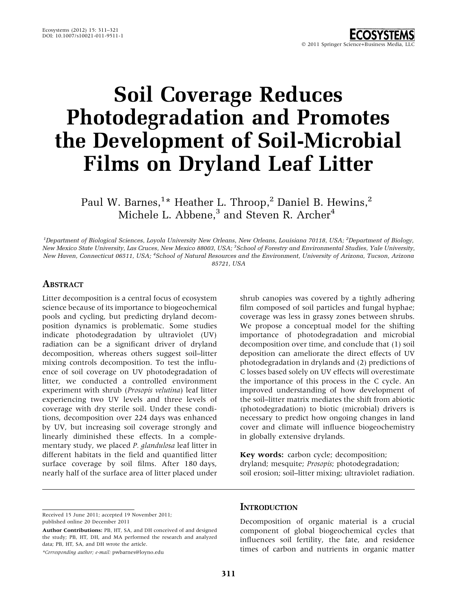# Soil Coverage Reduces Photodegradation and Promotes the Development of Soil-Microbial Films on Dryland Leaf Litter

Paul W. Barnes, $^{1\star}$  Heather L. Throop, $^{2}$  Daniel B. Hewins, $^{2}$ Michele L. Abbene,<sup>3</sup> and Steven R. Archer<sup>4</sup>

<sup>1</sup>Department of Biological Sciences, Loyola University New Orleans, New Orleans, Louisiana 70118, USA; <sup>2</sup>Department of Biology, New Mexico State University, Las Cruces, New Mexico 88003, USA; <sup>3</sup>School of Forestry and Environmental Studies, Yale University, New Haven, Connecticut 06511, USA; <sup>4</sup>School of Natural Resources and the Environment, University of Arizona, Tucson, Arizona 85721, USA

## **ABSTRACT**

Litter decomposition is a central focus of ecosystem science because of its importance to biogeochemical pools and cycling, but predicting dryland decomposition dynamics is problematic. Some studies indicate photodegradation by ultraviolet (UV) radiation can be a significant driver of dryland decomposition, whereas others suggest soil–litter mixing controls decomposition. To test the influence of soil coverage on UV photodegradation of litter, we conducted a controlled environment experiment with shrub (Prosopis velutina) leaf litter experiencing two UV levels and three levels of coverage with dry sterile soil. Under these conditions, decomposition over 224 days was enhanced by UV, but increasing soil coverage strongly and linearly diminished these effects. In a complementary study, we placed P. glandulosa leaf litter in different habitats in the field and quantified litter surface coverage by soil films. After 180 days, nearly half of the surface area of litter placed under

shrub canopies was covered by a tightly adhering film composed of soil particles and fungal hyphae; coverage was less in grassy zones between shrubs. We propose a conceptual model for the shifting importance of photodegradation and microbial decomposition over time, and conclude that (1) soil deposition can ameliorate the direct effects of UV photodegradation in drylands and (2) predictions of C losses based solely on UV effects will overestimate the importance of this process in the C cycle. An improved understanding of how development of the soil–litter matrix mediates the shift from abiotic (photodegradation) to biotic (microbial) drivers is necessary to predict how ongoing changes in land cover and climate will influence biogeochemistry in globally extensive drylands.

Key words: carbon cycle; decomposition; dryland; mesquite; Prosopis; photodegradation; soil erosion; soil–litter mixing; ultraviolet radiation.

Received 15 June 2011; accepted 19 November 2011; published online 20 December 2011

\*Corresponding author; e-mail: pwbarnes@loyno.edu

#### **INTRODUCTION**

Decomposition of organic material is a crucial component of global biogeochemical cycles that influences soil fertility, the fate, and residence times of carbon and nutrients in organic matter

Author Contributions: PB, HT, SA, and DH conceived of and designed the study; PB, HT, DH, and MA performed the research and analyzed data; PB, HT, SA, and DH wrote the article.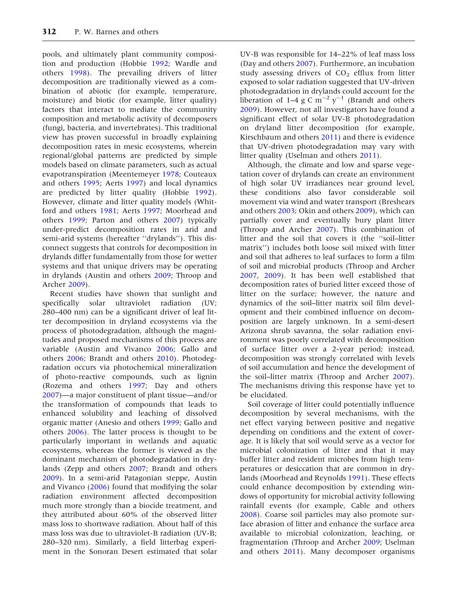pools, and ultimately plant community composition and production (Hobbie [1992;](#page-9-0) Wardle and others [1998\)](#page-10-0). The prevailing drivers of litter decomposition are traditionally viewed as a combination of abiotic (for example, temperature, moisture) and biotic (for example, litter quality) factors that interact to mediate the community composition and metabolic activity of decomposers (fungi, bacteria, and invertebrates). This traditional view has proven successful in broadly explaining decomposition rates in mesic ecosystems, wherein regional/global patterns are predicted by simple models based on climate parameters, such as actual evapotranspiration (Meentemeyer [1978;](#page-9-0) Couteaux and others [1995;](#page-9-0) Aerts [1997](#page-8-0)) and local dynamics are predicted by litter quality (Hobbie [1992](#page-9-0)). However, climate and litter quality models (Whitford and others [1981;](#page-10-0) Aerts [1997](#page-8-0); Moorhead and others [1999;](#page-9-0) Parton and others [2007](#page-9-0)) typically under-predict decomposition rates in arid and semi-arid systems (hereafter ''drylands''). This disconnect suggests that controls for decomposition in drylands differ fundamentally from those for wetter systems and that unique drivers may be operating in drylands (Austin and others [2009](#page-9-0); Throop and Archer [2009\)](#page-10-0).

Recent studies have shown that sunlight and specifically solar ultraviolet radiation (UV; 280–400 nm) can be a significant driver of leaf litter decomposition in dryland ecosystems via the process of photodegradation, although the magnitudes and proposed mechanisms of this process are variable (Austin and Vivanco [2006;](#page-9-0) Gallo and others [2006;](#page-9-0) Brandt and others [2010\)](#page-9-0). Photodegradation occurs via photochemical mineralization of photo-reactive compounds, such as lignin (Rozema and others [1997;](#page-9-0) Day and others [2007\)](#page-9-0)—a major constituent of plant tissue—and/or the transformation of compounds that leads to enhanced solubility and leaching of dissolved organic matter (Anesio and others [1999](#page-9-0); Gallo and others [2006](#page-9-0)). The latter process is thought to be particularly important in wetlands and aquatic ecosystems, whereas the former is viewed as the dominant mechanism of photodegradation in drylands (Zepp and others [2007;](#page-10-0) Brandt and others [2009\)](#page-9-0). In a semi-arid Patagonian steppe, Austin and Vivanco [\(2006](#page-9-0)) found that modifying the solar radiation environment affected decomposition much more strongly than a biocide treatment, and they attributed about 60% of the observed litter mass loss to shortwave radiation. About half of this mass loss was due to ultraviolet-B radiation (UV-B; 280–320 nm). Similarly, a field litterbag experiment in the Sonoran Desert estimated that solar

UV-B was responsible for 14–22% of leaf mass loss (Day and others [2007\)](#page-9-0). Furthermore, an incubation study assessing drivers of  $CO<sub>2</sub>$  efflux from litter exposed to solar radiation suggested that UV-driven photodegradation in drylands could account for the liberation of 1–4 g C  $\text{m}^{-2}$   $\text{y}^{-1}$  (Brandt and others [2009\)](#page-9-0). However, not all investigators have found a significant effect of solar UV-B photodegradation on dryland litter decomposition (for example, Kirschbaum and others [2011](#page-9-0)) and there is evidence that UV-driven photodegradation may vary with litter quality (Uselman and others [2011\)](#page-10-0).

Although, the climate and low and sparse vegetation cover of drylands can create an environment of high solar UV irradiances near ground level, these conditions also favor considerable soil movement via wind and water transport (Breshears and others [2003](#page-9-0); Okin and others [2009](#page-9-0)), which can partially cover and eventually bury plant litter (Throop and Archer [2007](#page-9-0)). This combination of litter and the soil that covers it (the ''soil–litter matrix'') includes both loose soil mixed with litter and soil that adheres to leaf surfaces to form a film of soil and microbial products (Throop and Archer [2007,](#page-9-0) [2009](#page-10-0)). It has been well established that decomposition rates of buried litter exceed those of litter on the surface; however, the nature and dynamics of the soil–litter matrix soil film development and their combined influence on decomposition are largely unknown. In a semi-desert Arizona shrub savanna, the solar radiation environment was poorly correlated with decomposition of surface litter over a 2-year period; instead, decomposition was strongly correlated with levels of soil accumulation and hence the development of the soil–litter matrix (Throop and Archer [2007](#page-9-0)). The mechanisms driving this response have yet to be elucidated.

Soil coverage of litter could potentially influence decomposition by several mechanisms, with the net effect varying between positive and negative depending on conditions and the extent of coverage. It is likely that soil would serve as a vector for microbial colonization of litter and that it may buffer litter and resident microbes from high temperatures or desiccation that are common in drylands (Moorhead and Reynolds [1991](#page-9-0)). These effects could enhance decomposition by extending windows of opportunity for microbial activity following rainfall events (for example, Cable and others [2008\)](#page-9-0). Coarse soil particles may also promote surface abrasion of litter and enhance the surface area available to microbial colonization, leaching, or fragmentation (Throop and Archer [2009](#page-10-0); Uselman and others [2011](#page-10-0)). Many decomposer organisms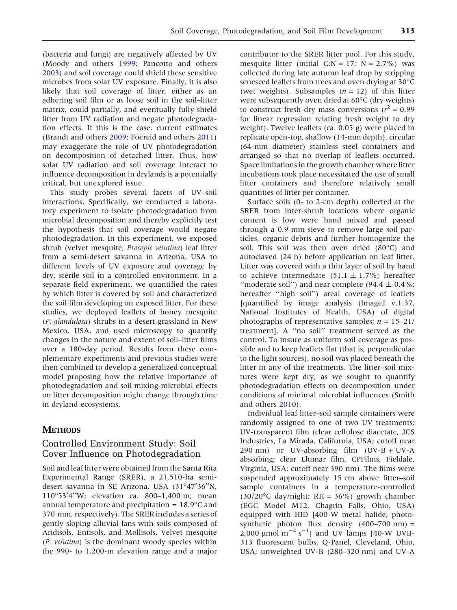(bacteria and fungi) are negatively affected by UV (Moody and others [1999](#page-9-0); Pancotto and others [2003\)](#page-9-0) and soil coverage could shield these sensitive microbes from solar UV exposure. Finally, it is also likely that soil coverage of litter, either as an adhering soil film or as loose soil in the soil–litter matrix, could partially, and eventually fully shield litter from UV radiation and negate photodegradation effects. If this is the case, current estimates (Brandt and others [2009](#page-9-0); Foereid and others [2011](#page-9-0)) may exaggerate the role of UV photodegradation on decomposition of detached litter. Thus, how solar UV radiation and soil coverage interact to influence decomposition in drylands is a potentially critical, but unexplored issue.

This study probes several facets of UV–soil interactions. Specifically, we conducted a laboratory experiment to isolate photodegradation from microbial decomposition and thereby explicitly test the hypothesis that soil coverage would negate photodegradation. In this experiment, we exposed shrub (velvet mesquite, Prosopis velutina) leaf litter from a semi-desert savanna in Arizona, USA to different levels of UV exposure and coverage by dry, sterile soil in a controlled environment. In a separate field experiment, we quantified the rates by which litter is covered by soil and characterized the soil film developing on exposed litter. For these studies, we deployed leaflets of honey mesquite (P. glandulosa) shrubs in a desert grassland in New Mexico, USA, and used microscopy to quantify changes in the nature and extent of soil–litter films over a 180-day period. Results from these complementary experiments and previous studies were then combined to develop a generalized conceptual model proposing how the relative importance of photodegradation and soil mixing-microbial effects on litter decomposition might change through time in dryland ecosystems.

# **METHODS**

## Controlled Environment Study: Soil Cover Influence on Photodegradation

Soil and leaf litter were obtained from the Santa Rita Experimental Range (SRER), a 21,510-ha semidesert savanna in SE Arizona, USA (31°47'36"N, 110°53'4"W; elevation ca. 800-1,400 m; mean annual temperature and precipitation  $= 18.9^{\circ}$ C and 370 mm, respectively). The SRER includes a series of gently sloping alluvial fans with soils composed of Aridisols, Entisols, and Mollisols. Velvet mesquite (P. velutina) is the dominant woody species within the 990- to 1,200-m elevation range and a major

contributor to the SRER litter pool. For this study, mesquite litter (initial C:N = 17; N = 2.7%) was collected during late autumn leaf drop by stripping senesced leaflets from trees and oven drying at 30°C (wet weights). Subsamples ( $n = 12$ ) of this litter were subsequently oven dried at  $60^{\circ}$ C (dry weights) to construct fresh-dry mass conversions  $(r^2 = 0.99)$ for linear regression relating fresh weight to dry weight). Twelve leaflets (ca. 0.05 g) were placed in replicate open-top, shallow (14-mm depth), circular (64-mm diameter) stainless steel containers and arranged so that no overlap of leaflets occurred. Space limitations in the growth chamber where litter incubations took place necessitated the use of small litter containers and therefore relatively small quantities of litter per container.

Surface soils (0- to 2-cm depth) collected at the SRER from inter-shrub locations where organic content is low were hand mixed and passed through a 0.9-mm sieve to remove large soil particles, organic debris and further homogenize the soil. This soil was then oven dried  $(80^{\circ}C)$  and autoclaved (24 h) before application on leaf litter. Litter was covered with a thin layer of soil by hand to achieve intermediate  $(51.1 \pm 1.7\%)$ ; hereafter "moderate soil") and near complete (94.4  $\pm$  0.4%; hereafter ''high soil'') areal coverage of leaflets [quantified by image analysis (ImageJ v.1.37, National Institutes of Health, USA) of digital photographs of representative samples;  $n = 15-21$ treatment]. A ''no soil'' treatment served as the control. To insure as uniform soil coverage as possible and to keep leaflets flat (that is, perpendicular to the light sources), no soil was placed beneath the litter in any of the treatments. The litter–soil mixtures were kept dry, as we sought to quantify photodegradation effects on decomposition under conditions of minimal microbial influences (Smith and others [2010\)](#page-9-0).

Individual leaf litter–soil sample containers were randomly assigned to one of two UV treatments: UV-transparent film (clear cellulose diacetate, JCS Industries, La Mirada, California, USA; cutoff near 290 nm) or UV-absorbing film  $(UV-B + UV-A)$ absorbing; clear Llumar film, CPFilms, Fieldale, Virginia, USA; cutoff near 390 nm). The films were suspended approximately 15 cm above litter–soil sample containers in a temperature-controlled (30/20 $\degree$ C day/night; RH = 36 $\%$ ) growth chamber (EGC Model M12, Chagrin Falls, Ohio, USA) equipped with HID [400-W metal halide; photosynthetic photon flux density  $(400-700 \text{ nm}) =$  $2,000 \mu$ mol m<sup>-2</sup> s<sup>-1</sup>] and UV lamps [40-W UVB-313 fluorescent bulbs, Q-Panel, Cleveland, Ohio, USA; unweighted UV-B (280–320 nm) and UV-A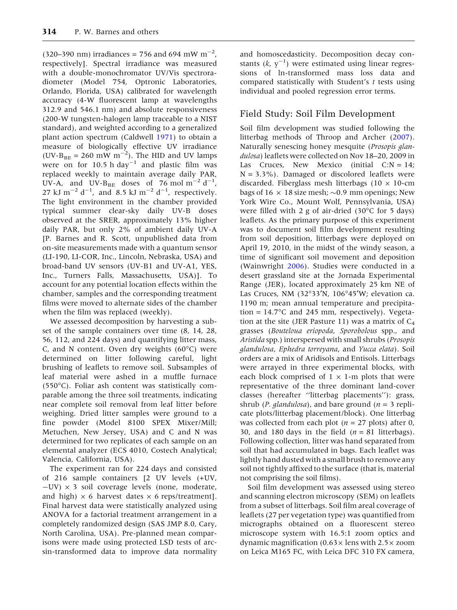(320–390 nm) irradiances = 756 and 694 mW m<sup>-2</sup>, respectively]. Spectral irradiance was measured with a double-monochromator UV/Vis spectroradiometer (Model 754, Optronic Laboratories, Orlando, Florida, USA) calibrated for wavelength accuracy (4-W fluorescent lamp at wavelengths 312.9 and 546.1 nm) and absolute responsiveness (200-W tungsten-halogen lamp traceable to a NIST standard), and weighted according to a generalized plant action spectrum (Caldwell [1971](#page-9-0)) to obtain a measure of biologically effective UV irradiance (UV- $B_{BE}$  = 260 mW m<sup>-2</sup>). The HID and UV lamps were on for 10.5 h day<sup>-1</sup> and plastic film was replaced weekly to maintain average daily PAR, UV-A, and UV-B<sub>BE</sub> doses of 76 mol  $m^{-2} d^{-1}$ , 27 kJ m<sup>-2</sup> d<sup>-1</sup>, and 8.5 kJ m<sup>-2</sup> d<sup>-1</sup>, respectively. The light environment in the chamber provided typical summer clear-sky daily UV-B doses observed at the SRER, approximately 13% higher daily PAR, but only 2% of ambient daily UV-A [P. Barnes and R. Scott, unpublished data from on-site measurements made with a quantum sensor (LI-190, LI-COR, Inc., Lincoln, Nebraska, USA) and broad-band UV sensors (UV-B1 and UV-A1, YES, Inc., Turners Falls, Massachusetts, USA)]. To account for any potential location effects within the chamber, samples and the corresponding treatment films were moved to alternate sides of the chamber when the film was replaced (weekly).

We assessed decomposition by harvesting a subset of the sample containers over time (8, 14, 28, 56, 112, and 224 days) and quantifying litter mass, C, and N content. Oven dry weights  $(60^{\circ}C)$  were determined on litter following careful, light brushing of leaflets to remove soil. Subsamples of leaf material were ashed in a muffle furnace  $(550^{\circ}C)$ . Foliar ash content was statistically comparable among the three soil treatments, indicating near complete soil removal from leaf litter before weighing. Dried litter samples were ground to a fine powder (Model 8100 SPEX Mixer/Mill; Metuchen, New Jersey, USA) and C and N was determined for two replicates of each sample on an elemental analyzer (ECS 4010, Costech Analytical; Valencia, California, USA).

The experiment ran for 224 days and consisted of 216 sample containers [2 UV levels (+UV,  $-UV$ )  $\times$  3 soil coverage levels (none, moderate, and high)  $\times$  6 harvest dates  $\times$  6 reps/treatment]. Final harvest data were statistically analyzed using ANOVA for a factorial treatment arrangement in a completely randomized design (SAS JMP 8.0, Cary, North Carolina, USA). Pre-planned mean comparisons were made using protected LSD tests of arcsin-transformed data to improve data normality

and homoscedasticity. Decomposition decay constants  $(k, y^{-1})$  were estimated using linear regressions of ln-transformed mass loss data and compared statistically with Student's t tests using individual and pooled regression error terms.

## Field Study: Soil Film Development

Soil film development was studied following the litterbag methods of Throop and Archer [\(2007](#page-9-0)). Naturally senescing honey mesquite (Prosopis glandulosa) leaflets were collected on Nov 18–20, 2009 in Las Cruces, New Mexico (initial  $C:N = 14$ ;  $N = 3.3\%$ ). Damaged or discolored leaflets were discarded. Fiberglass mesh litterbags ( $10 \times 10$ -cm bags of  $16 \times 18$  size mesh;  $\sim$ 0.9 mm openings; New York Wire Co., Mount Wolf, Pennsylvania, USA) were filled with 2 g of air-dried  $(30^{\circ}C)$  for 5 days) leaflets. As the primary purpose of this experiment was to document soil film development resulting from soil deposition, litterbags were deployed on April 19, 2010, in the midst of the windy season, a time of significant soil movement and deposition (Wainwright [2006\)](#page-10-0). Studies were conducted in a desert grassland site at the Jornada Experimental Range (JER), located approximately 25 km NE of Las Cruces, NM (32 $\degree$ 33'N, 106 $\degree$ 45'W; elevation ca. 1190 m; mean annual temperature and precipitation =  $14.7^{\circ}$ C and 245 mm, respectively). Vegetation at the site (JER Pasture 11) was a matrix of  $C_4$ grasses (Bouteloua eriopoda, Sporobolous spp., and Aristida spp.) interspersed with small shrubs (Prosopis glandulosa, Ephedra torreyana, and Yucca elata). Soil orders are a mix of Aridisols and Entisols. Litterbags were arrayed in three experimental blocks, with each block comprised of  $1 \times 1$ -m plots that were representative of the three dominant land-cover classes (hereafter ''litterbag placements''): grass, shrub (*P. glandulosa*), and bare ground ( $n = 3$  replicate plots/litterbag placement/block). One litterbag was collected from each plot ( $n = 27$  plots) after 0, 30, and 180 days in the field  $(n = 81$  litterbags). Following collection, litter was hand separated from soil that had accumulated in bags. Each leaflet was lightly hand dusted with a small brush to remove any soil not tightly affixed to the surface (that is, material not comprising the soil films).

Soil film development was assessed using stereo and scanning electron microscopy (SEM) on leaflets from a subset of litterbags. Soil film areal coverage of leaflets (27 per vegetation type) was quantified from micrographs obtained on a fluorescent stereo microscope system with 16.5:1 zoom optics and dynamic magnification  $(0.63 \times \text{lens with } 2.5 \times \text{zoom})$ on Leica M165 FC, with Leica DFC 310 FX camera,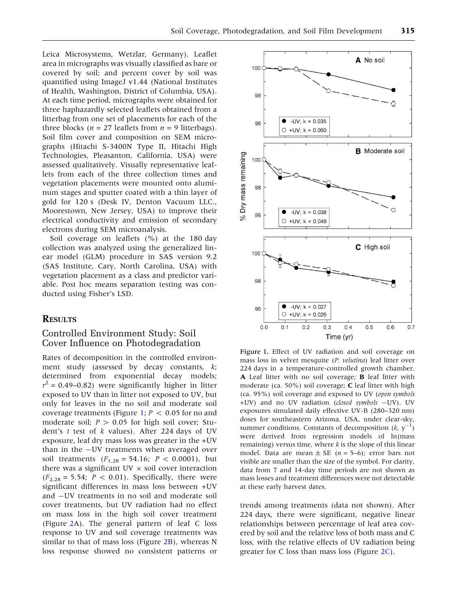Leica Microsystems, Wetzlar, Germany). Leaflet area in micrographs was visually classified as bare or covered by soil; and percent cover by soil was quantified using ImageJ v1.44 (National Institutes of Health, Washington, District of Columbia, USA). At each time period, micrographs were obtained for three haphazardly selected leaflets obtained from a litterbag from one set of placements for each of the three blocks ( $n = 27$  leaflets from  $n = 9$  litterbags). Soil film cover and composition on SEM micrographs (Hitachi S-3400N Type II, Hitachi High Technologies, Pleasanton, California, USA) were assessed qualitatively. Visually representative leaflets from each of the three collection times and vegetation placements were mounted onto aluminum stages and sputter coated with a thin layer of gold for 120 s (Desk IV, Denton Vacuum LLC., Moorestown, New Jersey, USA) to improve their electrical conductivity and emission of secondary electrons during SEM microanalysis.

Soil coverage on leaflets (%) at the 180 day collection was analyzed using the generalized linear model (GLM) procedure in SAS version 9.2 (SAS Institute, Cary, North Carolina, USA) with vegetation placement as a class and predictor variable. Post hoc means separation testing was conducted using Fisher's LSD.

## RESULTS

## Controlled Environment Study: Soil Cover Influence on Photodegradation

Rates of decomposition in the controlled environment study (assessed by decay constants,  $k$ ; determined from exponential decay models;  $r^2 = 0.49 - 0.82$ ) were significantly higher in litter exposed to UV than in litter not exposed to UV, but only for leaves in the no soil and moderate soil coverage treatments (Figure 1;  $P < 0.05$  for no and moderate soil;  $P > 0.05$  for high soil cover; Student's  $t$  test of  $k$  values). After 224 days of UV exposure, leaf dry mass loss was greater in the +UV than in the -UV treatments when averaged over soil treatments  $(F_{1,28} = 54.16; P < 0.0001)$ , but there was a significant UV  $\times$  soil cover interaction  $(F_{2,28} = 5.54; P < 0.01)$ . Specifically, there were significant differences in mass loss between +UV and -UV treatments in no soil and moderate soil cover treatments, but UV radiation had no effect on mass loss in the high soil cover treatment (Figure [2A](#page-5-0)). The general pattern of leaf C loss response to UV and soil coverage treatments was similar to that of mass loss (Figure [2](#page-5-0)B), whereas N loss response showed no consistent patterns or



Figure 1. Effect of UV radiation and soil coverage on mass loss in velvet mesquite (P. velutina) leaf litter over 224 days in a temperature-controlled growth chamber. A Leaf litter with no soil coverage; **B** leaf litter with moderate (ca. 50%) soil coverage; C leaf litter with high (ca. 95%) soil coverage and exposed to UV (open symbols +UV) and no UV radiation (closed symbols -UV). UV exposures simulated daily effective UV-B (280–320 nm) doses for southeastern Arizona, USA, under clear-sky, summer conditions. Constants of decomposition  $(k, y^{-1})$ were derived from regression models of ln(mass remaining) versus time, where  $k$  is the slope of this linear model. Data are mean  $\pm$  SE (*n* = 5–6); error bars not visible are smaller than the size of the symbol. For clarity, data from 7 and 14-day time periods are not shown as mass losses and treatment differences were not detectable at these early harvest dates.

trends among treatments (data not shown). After 224 days, there were significant, negative linear relationships between percentage of leaf area covered by soil and the relative loss of both mass and C loss, with the relative effects of UV radiation being greater for C loss than mass loss (Figure [2C](#page-5-0)).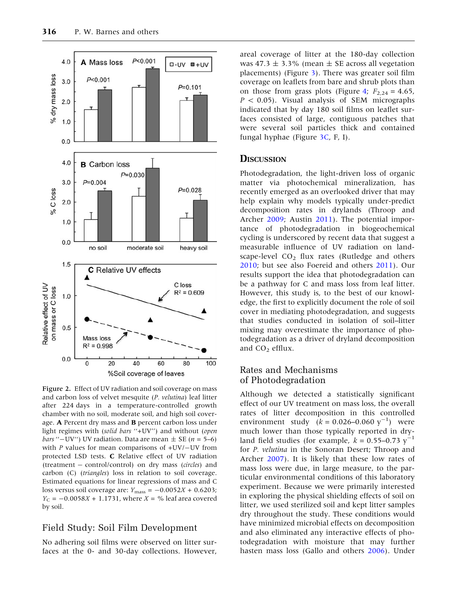<span id="page-5-0"></span>

Figure 2. Effect of UV radiation and soil coverage on mass and carbon loss of velvet mesquite (P. velutina) leaf litter after 224 days in a temperature-controlled growth chamber with no soil, moderate soil, and high soil coverage. A Percent dry mass and B percent carbon loss under light regimes with (solid bars ''+UV'') and without (open *bars* "-UV") UV radiation. Data are mean  $\pm$  SE (*n* = 5–6) with  $P$  values for mean comparisons of  $+UV$ / $-UV$  from protected LSD tests. C Relative effect of UV radiation (treatment - control/control) on dry mass (circles) and carbon (C) (triangles) loss in relation to soil coverage. Estimated equations for linear regressions of mass and C loss versus soil coverage are:  $Y_{\text{mass}} = -0.0052X + 0.6203$ ;  $Y_{C} = -0.0058X + 1.1731$ , where  $X = \%$  leaf area covered by soil.

## Field Study: Soil Film Development

No adhering soil films were observed on litter surfaces at the 0- and 30-day collections. However,

areal coverage of litter at the 180-day collection was 47.3  $\pm$  3.3% (mean  $\pm$  SE across all vegetation placements) (Figure [3\)](#page-6-0). There was greater soil film coverage on leaflets from bare and shrub plots than on those from grass plots (Figure [4;](#page-6-0)  $F_{2,24} = 4.65$ ,  $P < 0.05$ ). Visual analysis of SEM micrographs indicated that by day 180 soil films on leaflet surfaces consisted of large, contiguous patches that were several soil particles thick and contained fungal hyphae (Figure [3C,](#page-6-0) F, I).

## **DISCUSSION**

Photodegradation, the light-driven loss of organic matter via photochemical mineralization, has recently emerged as an overlooked driver that may help explain why models typically under-predict decomposition rates in drylands (Throop and Archer [2009](#page-10-0); Austin [2011](#page-9-0)). The potential importance of photodegradation in biogeochemical cycling is underscored by recent data that suggest a measurable influence of UV radiation on landscape-level  $CO<sub>2</sub>$  flux rates (Rutledge and others [2010;](#page-9-0) but see also Foereid and others [2011\)](#page-9-0). Our results support the idea that photodegradation can be a pathway for C and mass loss from leaf litter. However, this study is, to the best of our knowledge, the first to explicitly document the role of soil cover in mediating photodegradation, and suggests that studies conducted in isolation of soil–litter mixing may overestimate the importance of photodegradation as a driver of dryland decomposition and  $CO<sub>2</sub>$  efflux.

## Rates and Mechanisms of Photodegradation

Although we detected a statistically significant effect of our UV treatment on mass loss, the overall rates of litter decomposition in this controlled environment study  $(k = 0.026 - 0.060 y^{-1})$  were much lower than those typically reported in dryland field studies (for example,  $k = 0.55 - 0.73$  y<sup>-1</sup> for P. velutina in the Sonoran Desert; Throop and Archer [2007](#page-9-0)). It is likely that these low rates of mass loss were due, in large measure, to the particular environmental conditions of this laboratory experiment. Because we were primarily interested in exploring the physical shielding effects of soil on litter, we used sterilized soil and kept litter samples dry throughout the study. These conditions would have minimized microbial effects on decomposition and also eliminated any interactive effects of photodegradation with moisture that may further hasten mass loss (Gallo and others [2006](#page-9-0)). Under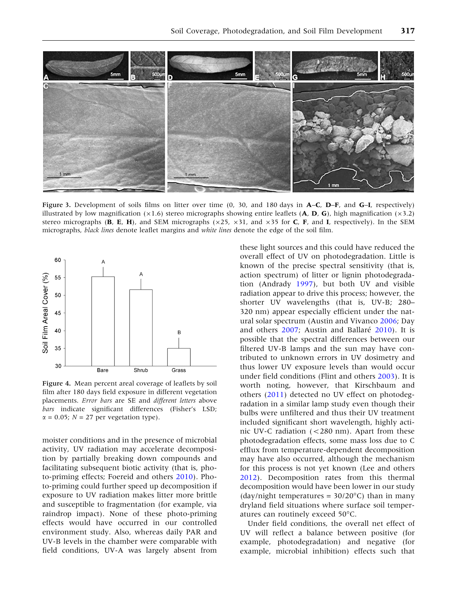<span id="page-6-0"></span>

Figure 3. Development of soils films on litter over time (0, 30, and 180 days in A–C, D–F, and G–I, respectively) illustrated by low magnification  $(x1.6)$  stereo micrographs showing entire leaflets (A, D, G), high magnification  $(x3.2)$ stereo micrographs (B, E, H), and SEM micrographs ( $\times$ 25,  $\times$ 31, and  $\times$ 35 for C, F, and I, respectively). In the SEM micrographs, black lines denote leaflet margins and white lines denote the edge of the soil film.



Figure 4. Mean percent areal coverage of leaflets by soil film after 180 days field exposure in different vegetation placements. Error bars are SE and different letters above bars indicate significant differences (Fisher's LSD;  $\alpha$  = 0.05; N = 27 per vegetation type).

moister conditions and in the presence of microbial activity, UV radiation may accelerate decomposition by partially breaking down compounds and facilitating subsequent biotic activity (that is, photo-priming effects; Foereid and others [2010\)](#page-9-0). Photo-priming could further speed up decomposition if exposure to UV radiation makes litter more brittle and susceptible to fragmentation (for example, via raindrop impact). None of these photo-priming effects would have occurred in our controlled environment study. Also, whereas daily PAR and UV-B levels in the chamber were comparable with field conditions, UV-A was largely absent from

these light sources and this could have reduced the overall effect of UV on photodegradation. Little is known of the precise spectral sensitivity (that is, action spectrum) of litter or lignin photodegradation (Andrady [1997\)](#page-8-0), but both UV and visible radiation appear to drive this process; however, the shorter UV wavelengths (that is, UV-B; 280– 320 nm) appear especially efficient under the natural solar spectrum (Austin and Vivanco [2006;](#page-9-0) Day and others  $2007$ ; Austin and Ballaré  $2010$ ). It is possible that the spectral differences between our filtered UV-B lamps and the sun may have contributed to unknown errors in UV dosimetry and thus lower UV exposure levels than would occur under field conditions (Flint and others [2003](#page-9-0)). It is worth noting, however, that Kirschbaum and others [\(2011](#page-9-0)) detected no UV effect on photodegradation in a similar lamp study even though their bulbs were unfiltered and thus their UV treatment included significant short wavelength, highly actinic UV-C radiation (<280 nm). Apart from these photodegradation effects, some mass loss due to C efflux from temperature-dependent decomposition may have also occurred, although the mechanism for this process is not yet known (Lee and others [2012\)](#page-9-0). Decomposition rates from this thermal decomposition would have been lower in our study (day/night temperatures =  $30/20^{\circ}$ C) than in many dryland field situations where surface soil temperatures can routinely exceed 50°C.

Under field conditions, the overall net effect of UV will reflect a balance between positive (for example, photodegradation) and negative (for example, microbial inhibition) effects such that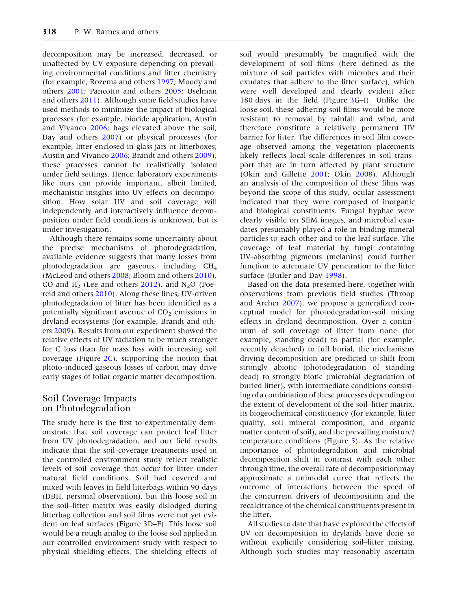decomposition may be increased, decreased, or unaffected by UV exposure depending on prevailing environmental conditions and litter chemistry (for example, Rozema and others [1997](#page-9-0); Moody and others [2001](#page-9-0); Pancotto and others [2005;](#page-9-0) Uselman and others [2011](#page-10-0)). Although some field studies have used methods to minimize the impact of biological processes (for example, biocide application, Austin and Vivanco [2006;](#page-9-0) bags elevated above the soil, Day and others [2007\)](#page-9-0) or physical processes (for example, litter enclosed in glass jars or litterboxes; Austin and Vivanco [2006](#page-9-0); Brandt and others [2009](#page-9-0)), these processes cannot be realistically isolated under field settings. Hence, laboratory experiments like ours can provide important, albeit limited, mechanistic insights into UV effects on decomposition. How solar UV and soil coverage will independently and interactively influence decomposition under field conditions is unknown, but is under investigation.

Although there remains some uncertainty about the precise mechanisms of photodegradation, available evidence suggests that many losses from photodegradation are gaseous, including CH4 (McLeod and others [2008;](#page-9-0) Bloom and others [2010](#page-9-0)), CO and  $H_2$  (Lee and others [2012](#page-9-0)), and  $N_2O$  (Foereid and others [2010\)](#page-9-0). Along these lines, UV-driven photodegradation of litter has been identified as a potentially significant avenue of  $CO<sub>2</sub>$  emissions in dryland ecosystems (for example, Brandt and others [2009](#page-9-0)). Results from our experiment showed the relative effects of UV radiation to be much stronger for C loss than for mass loss with increasing soil coverage (Figure  $2C$ ), supporting the notion that photo-induced gaseous losses of carbon may drive early stages of foliar organic matter decomposition.

## Soil Coverage Impacts on Photodegradation

The study here is the first to experimentally demonstrate that soil coverage can protect leaf litter from UV photodegradation, and our field results indicate that the soil coverage treatments used in the controlled environment study reflect realistic levels of soil coverage that occur for litter under natural field conditions. Soil had covered and mixed with leaves in field litterbags within 90 days (DBH, personal observation), but this loose soil in the soil–litter matrix was easily dislodged during litterbag collection and soil films were not yet evident on leaf surfaces (Figure [3D](#page-6-0)–F). This loose soil would be a rough analog to the loose soil applied in our controlled environment study with respect to physical shielding effects. The shielding effects of

soil would presumably be magnified with the development of soil films (here defined as the mixture of soil particles with microbes and their exudates that adhere to the litter surface), which were well developed and clearly evident after 180 days in the field (Figure [3](#page-6-0)G–I). Unlike the loose soil, these adhering soil films would be more resistant to removal by rainfall and wind, and therefore constitute a relatively permanent UV barrier for litter. The differences in soil film coverage observed among the vegetation placements likely reflects local-scale differences in soil transport that are in turn affected by plant structure (Okin and Gillette [2001](#page-9-0); Okin [2008](#page-9-0)). Although an analysis of the composition of these films was beyond the scope of this study, ocular assessment indicated that they were composed of inorganic and biological constituents. Fungal hyphae were clearly visible on SEM images, and microbial exudates presumably played a role in binding mineral particles to each other and to the leaf surface. The coverage of leaf material by fungi containing UV-absorbing pigments (melanins) could further function to attenuate UV penetration to the litter surface (Butler and Day [1998](#page-9-0)).

Based on the data presented here, together with observations from previous field studies (Throop and Archer [2007](#page-9-0)), we propose a generalized conceptual model for photodegradation-soil mixing effects in dryland decomposition. Over a continuum of soil coverage of litter from none (for example, standing dead) to partial (for example, recently detached) to full burial, the mechanisms driving decomposition are predicted to shift from strongly abiotic (photodegradation of standing dead) to strongly biotic (microbial degradation of buried litter), with intermediate conditions consisting of a combination of these processes depending on the extent of development of the soil–litter matrix, its biogeochemical constituency (for example, litter quality, soil mineral composition, and organic matter content of soil), and the prevailing moisture/ temperature conditions (Figure [5\)](#page-8-0). As the relative importance of photodegradation and microbial decomposition shift in contrast with each other through time, the overall rate of decomposition may approximate a unimodal curve that reflects the outcome of interactions between the speed of the concurrent drivers of decomposition and the recalcitrance of the chemical constituents present in the litter.

All studies to date that have explored the effects of UV on decomposition in drylands have done so without explicitly considering soil–litter mixing. Although such studies may reasonably ascertain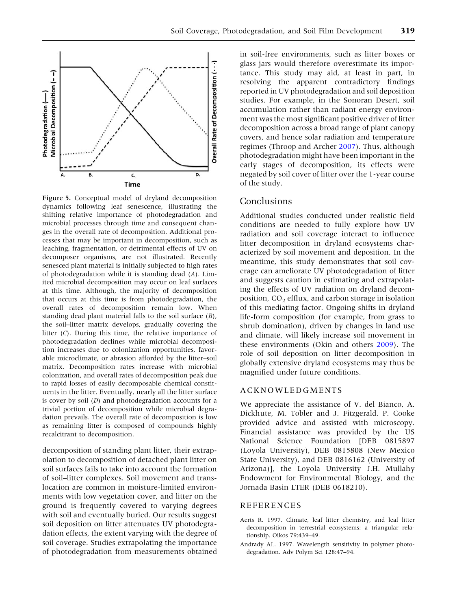<span id="page-8-0"></span>

Figure 5. Conceptual model of dryland decomposition dynamics following leaf senescence, illustrating the shifting relative importance of photodegradation and microbial processes through time and consequent changes in the overall rate of decomposition. Additional processes that may be important in decomposition, such as leaching, fragmentation, or detrimental effects of UV on decomposer organisms, are not illustrated. Recently senesced plant material is initially subjected to high rates of photodegradation while it is standing dead (A). Limited microbial decomposition may occur on leaf surfaces at this time. Although, the majority of decomposition that occurs at this time is from photodegradation, the overall rates of decomposition remain low. When standing dead plant material falls to the soil surface (B), the soil–litter matrix develops, gradually covering the litter (C). During this time, the relative importance of photodegradation declines while microbial decomposition increases due to colonization opportunities, favorable microclimate, or abrasion afforded by the litter–soil matrix. Decomposition rates increase with microbial colonization, and overall rates of decomposition peak due to rapid losses of easily decomposable chemical constituents in the litter. Eventually, nearly all the litter surface is cover by soil (D) and photodegradation accounts for a trivial portion of decomposition while microbial degradation prevails. The overall rate of decomposition is low as remaining litter is composed of compounds highly recalcitrant to decomposition.

decomposition of standing plant litter, their extrapolation to decomposition of detached plant litter on soil surfaces fails to take into account the formation of soil–litter complexes. Soil movement and translocation are common in moisture-limited environments with low vegetation cover, and litter on the ground is frequently covered to varying degrees with soil and eventually buried. Our results suggest soil deposition on litter attenuates UV photodegradation effects, the extent varying with the degree of soil coverage. Studies extrapolating the importance of photodegradation from measurements obtained in soil-free environments, such as litter boxes or glass jars would therefore overestimate its importance. This study may aid, at least in part, in resolving the apparent contradictory findings reported in UV photodegradation and soil deposition studies. For example, in the Sonoran Desert, soil accumulation rather than radiant energy environment was the most significant positive driver of litter decomposition across a broad range of plant canopy covers, and hence solar radiation and temperature regimes (Throop and Archer [2007](#page-9-0)). Thus, although photodegradation might have been important in the early stages of decomposition, its effects were negated by soil cover of litter over the 1-year course of the study.

## Conclusions

Additional studies conducted under realistic field conditions are needed to fully explore how UV radiation and soil coverage interact to influence litter decomposition in dryland ecosystems characterized by soil movement and deposition. In the meantime, this study demonstrates that soil coverage can ameliorate UV photodegradation of litter and suggests caution in estimating and extrapolating the effects of UV radiation on dryland decomposition,  $CO<sub>2</sub>$  efflux, and carbon storage in isolation of this mediating factor. Ongoing shifts in dryland life-form composition (for example, from grass to shrub domination), driven by changes in land use and climate, will likely increase soil movement in these environments (Okin and others [2009](#page-9-0)). The role of soil deposition on litter decomposition in globally extensive dryland ecosystems may thus be magnified under future conditions.

#### ACKNOWLEDGMENTS

We appreciate the assistance of V. del Bianco, A. Dickhute, M. Tobler and J. Fitzgerald. P. Cooke provided advice and assisted with microscopy. Financial assistance was provided by the US National Science Foundation [DEB 0815897 (Loyola University), DEB 0815808 (New Mexico State University), and DEB 0816162 (University of Arizona)], the Loyola University J.H. Mullahy Endowment for Environmental Biology, and the Jornada Basin LTER (DEB 0618210).

#### REFERENCES

- Aerts R. 1997. Climate, leaf litter chemistry, and leaf litter decomposition in terrestrial ecosystems: a triangular relationship. Oikos 79:439–49.
- Andrady AL. 1997. Wavelength sensitivity in polymer photodegradation. Adv Polym Sci 128:47–94.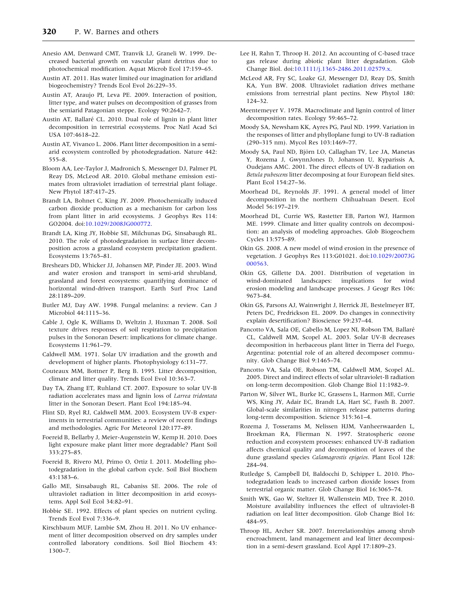- <span id="page-9-0"></span>Anesio AM, Denward CMT, Tranvik LJ, Graneli W. 1999. Decreased bacterial growth on vascular plant detritus due to photochemical modification. Aquat Microb Ecol 17:159–65.
- Austin AT. 2011. Has water limited our imagination for aridland biogeochemistry? Trends Ecol Evol 26:229–35.
- Austin AT, Araujo PI, Leva PE. 2009. Interaction of position, litter type, and water pulses on decomposition of grasses from the semiarid Patagonian steppe. Ecology 90:2642–7.
- Austin AT, Ballaré CL. 2010. Dual role of lignin in plant litter decomposition in terrestrial ecosystems. Proc Natl Acad Sci USA 107:4618–22.
- Austin AT, Vivanco L. 2006. Plant litter decomposition in a semiarid ecosystem controlled by photodegradation. Nature 442: 555–8.
- Bloom AA, Lee-Taylor J, Madronich S, Messenger DJ, Palmer PI, Reay DS, McLeod AR. 2010. Global methane emission estimates from ultraviolet irradiation of terrestrial plant foliage. New Phytol 187:417–25.
- Brandt LA, Bohnet C, King JY. 2009. Photochemically induced carbon dioxide production as a mechanism for carbon loss from plant litter in arid ecosystems. J Geophys Res 114: GO2004. doi:[10.1029/2008JG000772.](http://dx.doi.org/10.1029/2008JG000772)
- Brandt LA, King JY, Hobbie SE, Milchunas DG, Sinsabaugh RL. 2010. The role of photodegradation in surface litter decomposition across a grassland ecosystem precipitation gradient. Ecosystems 13:765–81.
- Breshears DD, Whicker JJ, Johansen MP, Pinder JE. 2003. Wind and water erosion and transport in semi-arid shrubland, grassland and forest ecosystems: quantifying dominance of horizontal wind-driven transport. Earth Surf Proc Land 28:1189–209.
- Butler MJ, Day AW. 1998. Fungal melanins: a review. Can J Microbiol 44:1115–36.
- Cable J, Ogle K, Williams D, Weltzin J, Huxman T. 2008. Soil texture drives responses of soil respiration to precipitation pulses in the Sonoran Desert: implications for climate change. Ecosystems 11:961–79.
- Caldwell MM. 1971. Solar UV irradiation and the growth and development of higher plants. Photophysiology 6:131–77.
- Couteaux MM, Bottner P, Berg B. 1995. Litter decomposition, climate and litter quality. Trends Ecol Evol 10:363–7.
- Day TA, Zhang ET, Ruhland CT. 2007. Exposure to solar UV-B radiation accelerates mass and lignin loss of Larrea tridentata litter in the Sonoran Desert. Plant Ecol 194:185–94.
- Flint SD, Ryel RJ, Caldwell MM. 2003. Ecosystem UV-B experiments in terrestrial communities: a review of recent findings and methodologies. Agric For Meteorol 120:177–89.
- Foereid B, Bellarby J, Meier-Augenstein W, Kemp H. 2010. Does light exposure make plant litter more degradable? Plant Soil 333:275–85.
- Foereid B, Rivero MJ, Primo O, Ortiz I. 2011. Modelling photodegradation in the global carbon cycle. Soil Biol Biochem 43:1383–6.
- Gallo ME, Sinsabaugh RL, Cabaniss SE. 2006. The role of ultraviolet radiation in litter decomposition in arid ecosystems. Appl Soil Ecol 34:82–91.
- Hobbie SE. 1992. Effects of plant species on nutrient cycling. Trends Ecol Evol 7:336–9.
- Kirschbaum MUF, Lambie SM, Zhou H. 2011. No UV enhancement of litter decomposition observed on dry samples under controlled laboratory conditions. Soil Biol Biochem 43: 1300–7.
- Lee H, Rahn T, Throop H. 2012. An accounting of C-based trace gas release during abiotic plant litter degradation. Glob Change Biol. doi[:10.1111/j.1365-2486.2011.02579.x](http://dx.doi.org/10.1111/j.1365-2486.2011.02579.x).
- McLeod AR, Fry SC, Loake GJ, Messenger DJ, Reay DS, Smith KA, Yun BW. 2008. Ultraviolet radiation drives methane emissions from terrestrial plant pectins. New Phytol 180: 124–32.
- Meentemeyer V. 1978. Macroclimate and lignin control of litter decomposition rates. Ecology 59:465–72.
- Moody SA, Newsham KK, Ayres PG, Paul ND. 1999. Variation in the responses of litter and phylloplane fungi to UV-B radiation (290–315 nm). Mycol Res 103:1469–77.
- Moody SA, Paul ND, Björn LO, Callaghan TV, Lee JA, Manetas Y, Rozema J, GwynnJones D, Johanson U, Kyparissis A, Oudejans AMC. 2001. The direct effects of UV-B radiation on Betula pubescens litter decomposing at four European field sites. Plant Ecol 154:27–36.
- Moorhead DL, Reynolds JF. 1991. A general model of litter decomposition in the northern Chihuahuan Desert. Ecol Model 56:197–219.
- Moorhead DL, Currie WS, Rastetter EB, Parton WJ, Harmon ME. 1999. Climate and litter quality controls on decomposition: an analysis of modeling approaches. Glob Biogeochem Cycles 13:575–89.
- Okin GS. 2008. A new model of wind erosion in the presence of vegetation. J Geophys Res 113:G01021. doi:[10.1029/2007JG](http://dx.doi.org/10.1029/2007JG000563) [000563.](http://dx.doi.org/10.1029/2007JG000563)
- Okin GS, Gillette DA. 2001. Distribution of vegetation in wind-dominated landscapes: implications for wind erosion modeling and landscape processes. J Geogr Res 106: 9673–84.
- Okin GS, Parsons AJ, Wainwright J, Herrick JE, Bestelmeyer BT, Peters DC, Fredrickson EL. 2009. Do changes in connectivity explain desertification? Bioscience 59:237–44.
- Pancotto VA, Sala OE, Cabello M, Lopez NI, Robson TM, Ballare´ CL, Caldwell MM, Scopel AL. 2003. Solar UV-B decreases decomposition in herbaceous plant litter in Tierra del Fuego, Argentina: potential role of an altered decomposer community. Glob Change Biol 9:1465–74.
- Pancotto VA, Sala OE, Robson TM, Caldwell MM, Scopel AL. 2005. Direct and indirect effects of solar ultraviolet-B radiation on long-term decomposition. Glob Change Biol 11:1982–9.
- Parton W, Silver WL, Burke IC, Grassens L, Harmon ME, Currie WS, King JY, Adair EC, Brandt LA, Hart SC, Fasth B. 2007. Global-scale similarities in nitrogen release patterns during long-term decomposition. Science 315:361–4.
- Rozema J, Tosserams M, Nelissen HJM, Vanheerwaarden L, Broekman RA, Flierman N. 1997. Stratospheric ozone reduction and ecosystem processes: enhanced UV-B radiation affects chemical quality and decomposition of leaves of the dune grassland species Calamagrostis epigeios. Plant Ecol 128: 284–94.
- Rutledge S, Campbell DI, Baldocchi D, Schipper L. 2010. Photodegradation leads to increased carbon dioxide losses from terrestrial organic matter. Glob Change Biol 16:3065–74.
- Smith WK, Gao W, Steltzer H, Wallenstein MD, Tree R. 2010. Moisture availability influences the effect of ultraviolet-B radiation on leaf litter decomposition. Glob Change Biol 16: 484–95.
- Throop HL, Archer SR. 2007. Interrelationships among shrub encroachment, land management and leaf litter decomposition in a semi-desert grassland. Ecol Appl 17:1809–23.